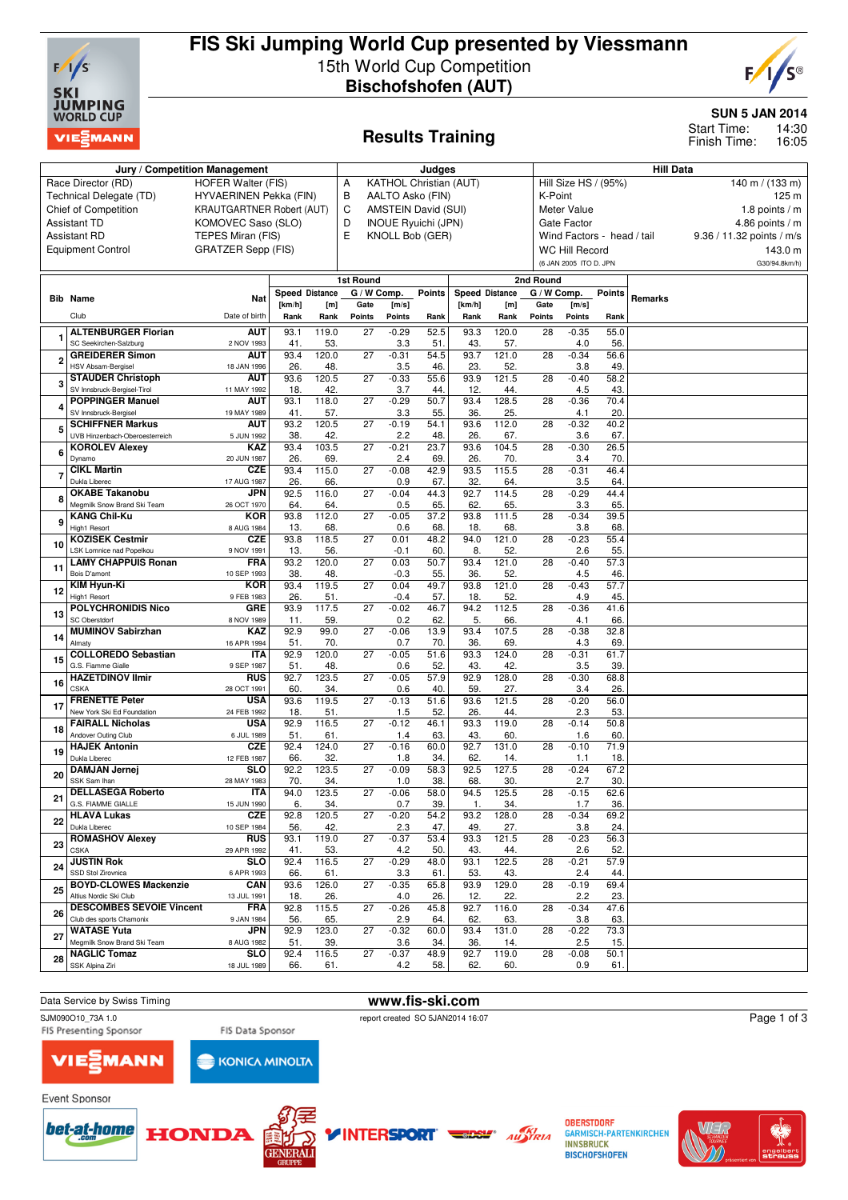

## **FIS Ski Jumping World Cup presented by Viessmann** 15th World Cup Competition **Bischofshofen (AUT)**



**SUN 5 JAN 2014**

14:30 16:05 Start Time: Finish Time:

# **Results Training**

|    | Jury / Competition Management                             |                                  | Judges         |              |                 |                |                               |                       | <b>Hill Data</b> |                 |                            |             |         |                           |
|----|-----------------------------------------------------------|----------------------------------|----------------|--------------|-----------------|----------------|-------------------------------|-----------------------|------------------|-----------------|----------------------------|-------------|---------|---------------------------|
|    | Race Director (RD)                                        | <b>HOFER Walter (FIS)</b>        |                |              | A               |                | <b>KATHOL Christian (AUT)</b> |                       |                  |                 | Hill Size HS / (95%)       |             |         | 140 m / (133 m)           |
|    | Technical Delegate (TD)                                   | HYVAERINEN Pekka (FIN)           |                |              | B               |                | AALTO Asko (FIN)              |                       |                  | K-Point         |                            |             |         | 125 m                     |
|    | <b>Chief of Competition</b>                               | <b>KRAUTGARTNER Robert (AUT)</b> |                |              | C               |                | <b>AMSTEIN David (SUI)</b>    |                       |                  |                 | Meter Value                |             |         | 1.8 points / $m$          |
|    | <b>Assistant TD</b>                                       | KOMOVEC Saso (SLO)               |                |              | D               |                | <b>INOUE Ryuichi (JPN)</b>    |                       |                  |                 | Gate Factor                |             |         | 4.86 points / $m$         |
|    | <b>Assistant RD</b>                                       | TEPES Miran (FIS)                |                |              | E               |                | KNOLL Bob (GER)               |                       |                  |                 | Wind Factors - head / tail |             |         | 9.36 / 11.32 points / m/s |
|    | <b>Equipment Control</b>                                  | <b>GRATZER Sepp (FIS)</b>        |                |              |                 |                |                               |                       |                  |                 | <b>WC Hill Record</b>      |             |         | 143.0 m                   |
|    |                                                           |                                  |                |              |                 |                |                               |                       |                  |                 | (6 JAN 2005 ITO D. JPN     |             |         | G30/94.8km/h)             |
|    |                                                           |                                  |                |              | 1st Round       |                |                               |                       |                  | 2nd Round       |                            |             |         |                           |
|    |                                                           | <b>Nat</b>                       | Speed Distance |              | G / W Comp.     |                | <b>Points</b>                 | <b>Speed Distance</b> |                  | G / W Comp.     |                            | Points      | Remarks |                           |
|    | <b>Bib Name</b>                                           |                                  | [km/h]         | [m]          | Gate            | [m/s]          |                               | [km/h]                | [m]              | Gate            | [m/s]                      |             |         |                           |
|    | Club                                                      | Date of birth                    | Rank           | Rank         | Points          | <b>Points</b>  | Rank                          | Rank                  | Rank             | Points          | <b>Points</b>              | Rank        |         |                           |
|    | <b>ALTENBURGER Florian</b>                                | <b>AUT</b>                       | 93.1           | 119.0        | $\overline{27}$ | $-0.29$        | 52.5                          | 93.3                  | 120.0            | 28              | $-0.35$                    | 55.0        |         |                           |
|    | SC Seekirchen-Salzburg                                    | 2 NOV 1993                       | 41.            | 53.          |                 | 3.3            | 51.                           | 43.                   | 57.              |                 | 4.0                        | 56          |         |                           |
|    | <b>GREIDERER Simon</b><br><b>HSV Absam-Bergisel</b>       | AUT<br>18 JAN 1996               | 93.4<br>26.    | 120.0<br>48. | $\overline{27}$ | $-0.31$<br>3.5 | 54.5<br>46.                   | 93.7<br>23.           | 121.0<br>52.     | 28              | $-0.34$<br>3.8             | 56.6<br>49  |         |                           |
|    | <b>STAUDER Christoph</b>                                  | <b>AUT</b>                       | 93.6           | 120.5        | 27              | $-0.33$        | 55.6                          | 93.9                  | 121.5            | 28              | $-0.40$                    | 58.2        |         |                           |
|    | SV Innsbruck-Bergisel-Tirol                               | 11 MAY 1992                      | 18.            | 42.          |                 | 3.7            | 44.                           | 12.                   | 44.              |                 | 4.5                        | 43.         |         |                           |
|    | <b>POPPINGER Manuel</b>                                   | <b>AUT</b>                       | 93.1           | 118.0        | 27              | $-0.29$        | 50.7                          | 93.4                  | 128.5            | 28              | $-0.36$                    | 70.4        |         |                           |
|    | SV Innsbruck-Bergisel                                     | 19 MAY 1989                      | 41.            | 57.          |                 | 3.3            | 55.                           | 36.                   | 25.              |                 | 4.1                        | 20.         |         |                           |
|    | <b>SCHIFFNER Markus</b><br>UVB Hinzenbach-Oberoesterreich | AUT<br>5 JUN 1992                | 93.2<br>38.    | 120.5<br>42. | 27              | $-0.19$<br>2.2 | 54.1                          | 93.6<br>26.           | 112.0<br>67.     | 28              | $-0.32$<br>3.6             | 40.2<br>67. |         |                           |
|    | <b>KOROLEV Alexey</b>                                     | <b>KAZ</b>                       | 93.4           | 103.5        | 27              | $-0.21$        | 48.<br>23.7                   | 93.6                  | 104.5            | 28              | $-0.30$                    | 26.5        |         |                           |
|    | Dynamo                                                    | 20 JUN 1987                      | 26.            | 69.          |                 | 2.4            | 69.                           | 26.                   | 70.              |                 | 3.4                        | 70          |         |                           |
|    | <b>CIKL Martin</b>                                        | <b>CZE</b>                       | 93.4           | 115.0        | 27              | $-0.08$        | 42.9                          | 93.5                  | 115.5            | 28              | $-0.31$                    | 46.4        |         |                           |
|    | Dukla Liberec                                             | 17 AUG 1987                      | 26             | 66.          |                 | 0.9            | 67.                           | 32.                   | 64.              |                 | 3.5                        | 64          |         |                           |
|    | <b>OKABE Takanobu</b><br>Megmilk Snow Brand Ski Team      | JPN<br>26 OCT 1970               | 92.5<br>64.    | 116.0<br>64. | 27              | $-0.04$        | 44.3<br>65.                   | 92.7<br>62.           | 114.5<br>65.     | 28              | $-0.29$<br>3.3             | 44.4        |         |                           |
|    | <b>KANG Chil-Ku</b>                                       | <b>KOR</b>                       | 93.8           | 112.0        | $\overline{27}$ | 0.5<br>$-0.05$ | 37.2                          | 93.8                  | 111.5            | 28              | $-0.34$                    | 65.<br>39.5 |         |                           |
| ç  | <b>High1 Resort</b>                                       | 8 AUG 1984                       | 13.            | 68.          |                 | 0.6            | 68.                           | 18.                   | 68.              |                 | 3.8                        | 68          |         |                           |
| 10 | <b>KOZISEK Cestmir</b>                                    | <b>CZE</b>                       | 93.8           | 118.5        | 27              | 0.01           | 48.2                          | 94.0                  | 121.0            | 28              | $-0.23$                    | 55.4        |         |                           |
|    | LSK Lomnice nad Popelkou                                  | 9 NOV 1991                       | 13.            | 56.          |                 | $-0.1$         | 60.                           | 8.                    | 52.              |                 | 2.6                        | 55.         |         |                           |
| 11 | <b>LAMY CHAPPUIS Ronan</b><br>Bois D'amont                | <b>FRA</b><br>10 SEP 1993        | 93.2<br>38.    | 120.0<br>48. | $\overline{27}$ | 0.03<br>$-0.3$ | 50.7<br>55.                   | 93.4<br>36.           | 121.0<br>52.     | 28              | $-0.40$<br>4.5             | 57.3<br>46. |         |                           |
|    | <b>KIM Hyun-Ki</b>                                        | <b>KOR</b>                       | 93.4           | 119.5        | $\overline{27}$ | 0.04           | 49.7                          | 93.8                  | 121.0            | $\overline{28}$ | $-0.43$                    | 57.7        |         |                           |
| 12 | High1 Resort                                              | 9 FEB 1983                       | 26.            | 51.          |                 | $-0.4$         | 57.                           | 18.                   | 52.              |                 | 4.9                        | 45.         |         |                           |
| 13 | <b>POLYCHRONIDIS Nico</b>                                 | <b>GRE</b>                       | 93.9           | 117.5        | $\overline{27}$ | $-0.02$        | 46.7                          | 94.2                  | 112.5            | 28              | $-0.36$                    | 41.6        |         |                           |
|    | SC Oberstdorf                                             | 8 NOV 1989                       | 11.            | 59.          |                 | 0.2            | 62.                           | 5.                    | 66.              |                 | 4.1                        | 66.         |         |                           |
| 14 | <b>MUMINOV Sabirzhan</b><br><b>Almaty</b>                 | <b>KAZ</b><br>16 APR 1994        | 92.9<br>51.    | 99.0<br>70.  | 27              | $-0.06$<br>0.7 | 13.9<br>70.                   | 93.4<br>36.           | 107.5<br>69.     | 28              | $-0.38$<br>4.3             | 32.8<br>69  |         |                           |
|    | <b>COLLOREDO Sebastian</b>                                | ITA                              | 92.9           | 120.0        | 27              | $-0.05$        | 51.6                          | 93.3                  | 124.0            | 28              | $-0.31$                    | 61.7        |         |                           |
| 15 | G.S. Fiamme Gialle                                        | 9 SEP 1987                       | 51.            | 48.          |                 | 0.6            | 52.                           | 43.                   | 42.              |                 | 3.5                        | 39.         |         |                           |
| 16 | <b>HAZETDINOV Ilmir</b>                                   | <b>RUS</b>                       | 92.7           | 123.5        | 27              | $-0.05$        | 57.9                          | 92.9                  | 128.0            | 28              | $-0.30$                    | 68.8        |         |                           |
|    | <b>CSKA</b>                                               | 28 OCT 1991<br><b>USA</b>        | 60.<br>93.6    | 34.<br>119.5 | 27              | 0.6<br>$-0.13$ | 40.<br>51.6                   | 59.<br>93.6           | 27.<br>121.5     | 28              | 3.4<br>$-0.20$             | 26.         |         |                           |
| 17 | <b>FRENETTE Peter</b><br>New York Ski Ed Foundation       | 24 FEB 1992                      | 18.            | 51.          |                 | 1.5            | 52.                           | 26.                   | 44.              |                 | 2.3                        | 56.0<br>53. |         |                           |
|    | <b>FAIRALL Nicholas</b>                                   | <b>USA</b>                       | 92.9           | 116.5        | $\overline{27}$ | $-0.12$        | 46.1                          | 93.3                  | 119.0            | 28              | $-0.14$                    | 50.8        |         |                           |
| 18 | Andover Outing Club                                       | 6 JUL 1989                       | 51.            | 61.          |                 | 1.4            | 63                            | 43.                   | 60.              |                 | 1.6                        | 60.         |         |                           |
| 19 | <b>HAJEK Antonin</b>                                      | <b>CZE</b>                       | 92.4           | 124.0        | 27              | $-0.16$        | 60.0                          | 92.7                  | 131.0            | 28              | $-0.10$                    | 71.9        |         |                           |
|    | Dukla Liberec<br><b>DAMJAN Jernej</b>                     | 12 FEB 1987<br><b>SLO</b>        | 66.<br>92.2    | 32.<br>123.5 | $\overline{27}$ | 1.8<br>$-0.09$ | 34.<br>58.3                   | 62.<br>92.5           | 14.<br>127.5     | 28              | 1.1<br>$-0.24$             | 18.<br>67.2 |         |                           |
| 20 | SSK Sam Ihan                                              | 28 MAY 1983                      | 70.            | 34.          |                 | 1.0            | 38.                           | 68.                   | 30.              |                 | 2.7                        | 30.         |         |                           |
| 21 | <b>DELLASEGA Roberto</b>                                  | <b>ITA</b>                       | 94.0           | 123.5        | $\overline{27}$ | $-0.06$        | 58.0                          | 94.5                  | 125.5            | 28              | $-0.15$                    | 62.6        |         |                           |
|    | G.S. FIAMME GIALLE                                        | 15 JUN 1990                      | б.             | 34.          |                 | 0.7            | 39.                           |                       | 34.              |                 |                            | 36.         |         |                           |
| 22 | <b>HLAVA Lukas</b><br>Dukla Liberec                       | <b>CZE</b>                       | 92.8           | 120.5        | 27              | $-0.20$        | 54.2                          | 93.2                  | 128.0            | 28              | $-0.34$                    | 69.2        |         |                           |
|    | <b>ROMASHOV Alexev</b>                                    | 10 SEP 1984<br><b>RUS</b>        | 56.<br>93.1    | 42.<br>119.0 | 27              | 2.3<br>$-0.37$ | 47.<br>53.4                   | 49.<br>93.3           | 27.<br>121.5     | 28              | 3.8<br>$-0.23$             | 24.<br>56.3 |         |                           |
| 23 | CSKA                                                      | 29 APR 1992                      | 41.            | 53.          |                 | 4.2            | 50.                           | 43.                   | 44.              |                 | 2.6                        | 52.         |         |                           |
| 24 | <b>JUSTIN Rok</b>                                         | SLO                              | 92.4           | 116.5        | 27              | $-0.29$        | 48.0                          | 93.1                  | 122.5            | 28              | $-0.21$                    | 57.9        |         |                           |
|    | SSD Stol Zirovnica                                        | 6 APR 1993                       | 66.            | 61.          |                 | 3.3            | 61.                           | 53.                   | 43.              |                 | 2.4                        | 44.         |         |                           |
| 25 | <b>BOYD-CLOWES Mackenzie</b><br>Altius Nordic Ski Club    | CAN<br>13 JUL 1991               | 93.6<br>18.    | 126.0<br>26. | 27              | $-0.35$<br>4.0 | 65.8<br>26.                   | 93.9<br>12.           | 129.0<br>22.     | 28              | $-0.19$<br>2.2             | 69.4<br>23. |         |                           |
|    | <b>DESCOMBES SEVOIE Vincent</b>                           | <b>FRA</b>                       | 92.8           | 115.5        | 27              | $-0.26$        | 45.8                          | 92.7                  | 116.0            | 28              | $-0.34$                    | 47.6        |         |                           |
| 26 | Club des sports Chamonix                                  | 9 JAN 1984                       | 56.            | 65.          |                 | 2.9            | 64.                           | 62.                   | 63.              |                 | 3.8                        | 63.         |         |                           |
| 27 | <b>WATASE Yuta</b>                                        | <b>JPN</b>                       | 92.9           | 123.0        | 27              | $-0.32$        | 60.0                          | 93.4                  | 131.0            | 28              | $-0.22$                    | 73.3        |         |                           |
|    | Megmilk Snow Brand Ski Team                               | 8 AUG 1982                       | 51.            | 39.          |                 | 3.6            | 34.                           | 36.                   | 14.              |                 | 2.5                        | 15.         |         |                           |
| 28 | <b>NAGLIC Tomaz</b><br>SSK Alpina Ziri                    | <b>SLO</b><br>18 JUL 1989        | 92.4<br>66.    | 116.5<br>61. | 27              | $-0.37$<br>4.2 | 48.9<br>58.                   | 92.7<br>62.           | 119.0<br>60.     | 28              | $-0.08$<br>0.9             | 50.1<br>61. |         |                           |
|    |                                                           |                                  |                |              |                 |                |                               |                       |                  |                 |                            |             |         |                           |

Data Service by Swiss Timing **www.fis-ski.com**<br>
SJM090010 73A 1.0<br> **www.fis-ski.com** 

**Event Sponsor** 

SJM090O10\_73A 1.0 report created SO 5JAN2014 16:07<br>FIS Presenting Sponsor FIS Data Sponsor FIS Presenting Sponsor

**INTERSPORT** 



FIS Data Sponsor **KONICA MINOLTA** 









**OBERSTDORF GARMISCH-PARTENKIRCHEN INNSBRUCK BISCHOFSHOFEN** 



Page 1 of 3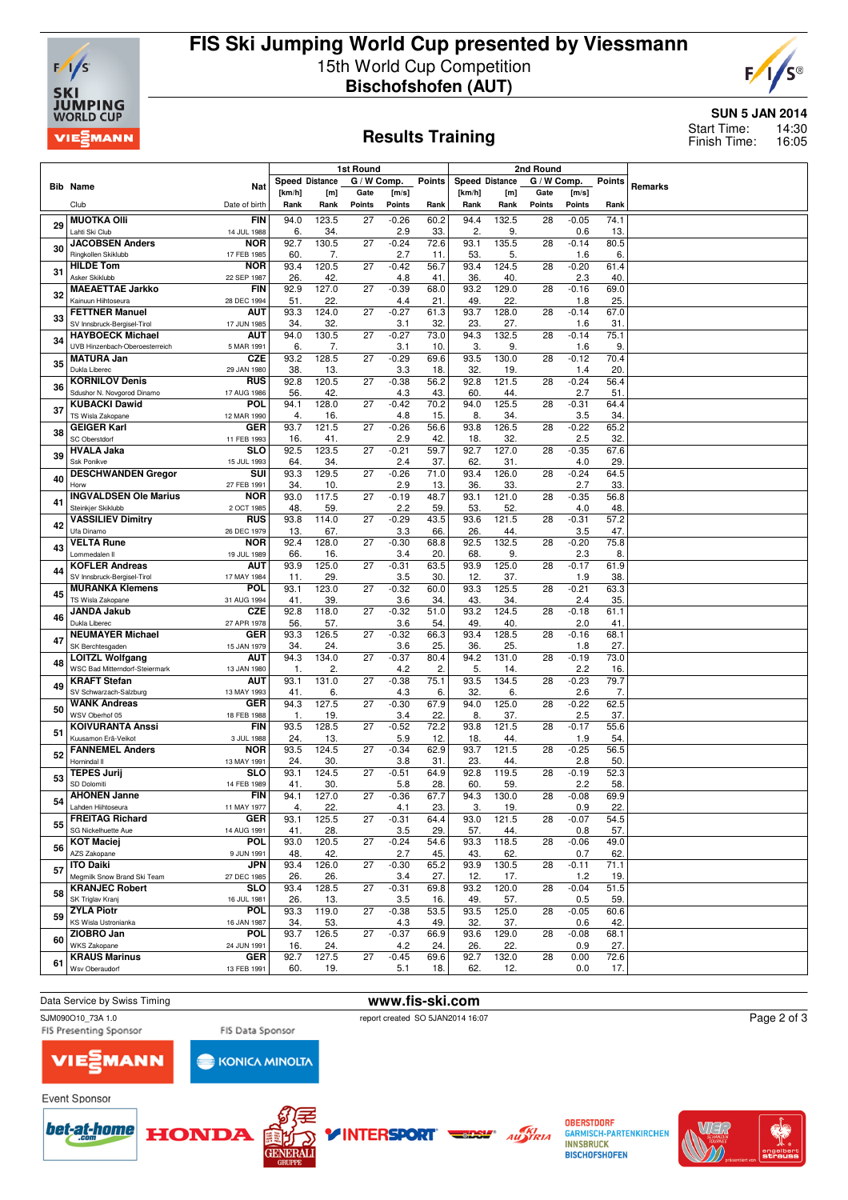

## **FIS Ski Jumping World Cup presented by Viessmann** 15th World Cup Competition **Bischofshofen (AUT)**



### **Results Training**

### **SUN 5 JAN 2014**

14:30 16:05 Start Time: Finish Time:

|    |                                                        |                           |                       |              | 1st Round       |                |               | 2nd Round             |              |               |                |                   |         |
|----|--------------------------------------------------------|---------------------------|-----------------------|--------------|-----------------|----------------|---------------|-----------------------|--------------|---------------|----------------|-------------------|---------|
|    | <b>Bib Name</b>                                        |                           | <b>Speed Distance</b> |              | G / W Comp.     |                | <b>Points</b> | <b>Speed Distance</b> |              | G / W Comp.   |                | <b>Points</b>     | Remarks |
|    |                                                        | Nat                       | [km/h]                | [m]          | Gate            | [m/s]          |               | [km/h]                | [m]          | Gate          | [m/s]          |                   |         |
|    | Club                                                   | Date of birth             | Rank                  | Rank         | Points          | <b>Points</b>  | Rank          | Rank                  | Rank         | <b>Points</b> | Points         | Rank              |         |
| 29 | <b>MUOTKA Olli</b>                                     | <b>FIN</b>                | 94.0                  | 123.5        | 27              | $-0.26$        | 60.2          | 94.4                  | 132.5        | 28            | $-0.05$        | 74.1              |         |
|    | Lahti Ski Club                                         | 14 JUL 1988               | 6.                    | 34.          |                 | 2.9            | 33.           | $\mathbf{2}$          | 9.           |               | 0.6            | 13.               |         |
| 30 | <b>JACOBSEN Anders</b>                                 | <b>NOR</b>                | 92.7                  | 130.5        | 27              | $-0.24$        | 72.6          | 93.1                  | 135.5        | 28            | $-0.14$        | 80.5              |         |
|    | Ringkollen Skiklubb<br><b>HILDE Tom</b>                | 17 FEB 1985<br><b>NOR</b> | 60<br>93.4            | 7.<br>120.5  | $\overline{27}$ | 2.7<br>$-0.42$ | 11.<br>56.7   | 53.<br>93.4           | 5.<br>124.5  | 28            | 1.6<br>$-0.20$ | 6.<br>61.4        |         |
| 31 | Asker Skiklubb                                         | 22 SEP 1987               | 26                    | 42.          |                 | 4.8            | 41.           | 36.                   | 40           |               | 2.3            | 40                |         |
|    | <b>MAEAETTAE Jarkko</b>                                | <b>FIN</b>                | 92.9                  | 127.0        | 27              | $-0.39$        | 68.0          | 93.2                  | 129.0        | 28            | $-0.16$        | 69.0              |         |
| 32 | Kainuun Hiihtoseura                                    | 28 DEC 1994               | 51.                   | 22.          |                 | 4.4            | 21.           | 49.                   | 22.          |               | 1.8            | 25.               |         |
| 33 | <b>FETTNER Manuel</b>                                  | AUT                       | 93.3                  | 124.0        | $\overline{27}$ | $-0.27$        | 61.3          | 93.7                  | 128.0        | 28            | $-0.14$        | 67.0              |         |
|    | SV Innsbruck-Bergisel-Tirol<br><b>HAYBOECK Michael</b> | 17 JUN 1985               | 34.<br>94.0           | 32.<br>130.5 | 27              | 3.1            | 32.           | 23.<br>94.3           | 27.          |               | 1.6            | 31.               |         |
| 34 | UVB Hinzenbach-Oberoesterreich                         | aut<br>5 MAR 1991         | 6.                    | 7.           |                 | $-0.27$<br>3.1 | 73.0<br>10.   | 3.                    | 132.5<br>9.  | 28            | $-0.14$<br>1.6 | 75.1<br>9.        |         |
|    | <b>MATURA Jan</b>                                      | CZE                       | 93.2                  | 128.5        | 27              | $-0.29$        | 69.6          | 93.5                  | 130.0        | 28            | $-0.12$        | 70.4              |         |
| 35 | Dukla Liberec                                          | 29 JAN 1980               | 38.                   | 13.          |                 | 3.3            | 18.           | 32.                   | 19.          |               | 1.4            | 20.               |         |
| 36 | <b>KORNILOV Denis</b>                                  | <b>RUS</b>                | 92.8                  | 120.5        | 27              | $-0.38$        | 56.2          | 92.8                  | 121.5        | 28            | $-0.24$        | 56.4              |         |
|    | Sdushor N. Novgorod Dinamo                             | 17 AUG 1986               | 56                    | 42.          |                 | 4.3            | 43.           | 60.                   | 44.          |               | 2.7            | 51.               |         |
| 37 | <b>KUBACKI Dawid</b><br>TS Wisla Zakopane              | <b>POL</b><br>12 MAR 1990 | 94.1<br>4.            | 128.0<br>16. | 27              | $-0.42$<br>4.8 | 70.2<br>15.   | 94.0<br>8.            | 125.5<br>34. | 28            | $-0.31$<br>3.5 | 64.4<br>34        |         |
|    | <b>GEIGER Karl</b>                                     | <b>GER</b>                | 93.7                  | 121.5        | 27              | $-0.26$        | 56.6          | 93.8                  | 126.5        | 28            | $-0.22$        | 65.2              |         |
| 38 | SC Oberstdorf                                          | 11 FEB 1993               | 16.                   | 41.          |                 | 2.9            | 42.           | 18.                   | 32           |               | 2.5            | 32.               |         |
| 39 | <b>HVALA Jaka</b>                                      | <b>SLO</b>                | 92.5                  | 123.5        | 27              | $-0.21$        | 59.7          | 92.7                  | 127.0        | 28            | $-0.35$        | 67.6              |         |
|    | Ssk Ponikve                                            | 15 JUL 1993               | 64.                   | 34.          |                 | 2.4            | 37.           | 62.                   | 31.          |               | 4.0            | 29.               |         |
| 40 | <b>DESCHWANDEN Gregor</b><br>Horw                      | SUI                       | 93.3<br>34.           | 129.5<br>10. | 27              | $-0.26$        | 71.0          | 93.4<br>36.           | 126.0<br>33. | 28            | $-0.24$<br>2.7 | 64.5<br>33.       |         |
|    | <b>INGVALDSEN Ole Marius</b>                           | 27 FEB 1991<br><b>NOR</b> | 93.0                  | 117.5        | 27              | 2.9<br>$-0.19$ | 13.<br>48.7   | 93.1                  | 121.0        | 28            | $-0.35$        | 56.8              |         |
| 41 | Steinkjer Skiklubb                                     | 2 OCT 1985                | 48                    | 59           |                 | 2.2            | 59            | 53.                   | 52           |               | 4.0            | 48                |         |
| 42 | <b>VASSILIEV Dimitry</b>                               | <b>RUS</b>                | 93.8                  | 114.0        | $\overline{27}$ | $-0.29$        | 43.5          | 93.6                  | 121.5        | 28            | $-0.31$        | $\overline{57.2}$ |         |
|    | Ufa Dinamo                                             | 26 DEC 1979               | 13.                   | 67.          |                 | 3.3            | 66.           | 26.                   | 44.          |               | 3.5            | 47                |         |
| 43 | <b>VELTA Rune</b><br>Lommedalen II                     | <b>NOR</b>                | 92.4                  | 128.0        | $\overline{27}$ | $-0.30$        | 68.8          | 92.5                  | 132.5        | 28            | $-0.20$        | 75.8              |         |
|    | <b>KOFLER Andreas</b>                                  | 19 JUL 1989<br>aut        | 66<br>93.9            | 16.<br>125.0 | 27              | 3.4<br>$-0.31$ | 20.<br>63.5   | 68.<br>93.9           | 9.<br>125.0  | 28            | 2.3<br>$-0.17$ | 8<br>61.9         |         |
| 44 | SV Innsbruck-Bergisel-Tirol                            | 17 MAY 1984               | 11.                   | 29.          |                 | 3.5            | 30            | 12.                   | 37.          |               | 1.9            | 38.               |         |
| 45 | <b>MURANKA Klemens</b>                                 | POL                       | 93.1                  | 123.0        | 27              | $-0.32$        | 60.0          | 93.3                  | 125.5        | 28            | $-0.21$        | 63.3              |         |
|    | TS Wisla Zakopane                                      | 31 AUG 1994               | 41.                   | 39.          |                 | 3.6            | 34.           | 43.                   | 34.          |               | 2.4            | 35.               |         |
| 46 | <b>JANDA Jakub</b><br>Dukla Liberec                    | <b>CZE</b>                | 92.8                  | 118.0        | $\overline{27}$ | $-0.32$        | 51.0          | 93.2                  | 124.5        | 28            | $-0.18$        | 61.1              |         |
|    | <b>NEUMAYER Michael</b>                                | 27 APR 1978<br><b>GER</b> | 56<br>93.3            | 57.<br>126.5 | 27              | 3.6<br>$-0.32$ | 54.<br>66.3   | 49.<br>93.4           | 40<br>128.5  | 28            | 2.0<br>$-0.16$ | 41.<br>68.1       |         |
| 47 | SK Berchtesgaden                                       | 15 JAN 1979               | 34                    | 24.          |                 | 3.6            | 25.           | 36.                   | 25.          |               | 1.8            | 27.               |         |
| 48 | <b>LOITZL Wolfgang</b>                                 | AUT                       | 94.3                  | 134.0        | 27              | $-0.37$        | 80.4          | 94.2                  | 131.0        | 28            | $-0.19$        | 73.0              |         |
|    | <b>WSC Bad Mitterndorf-Steiermark</b>                  | 13 JAN 1980               | -1.                   | 2.           |                 | 4.2            | 2.            | 5.                    | 14.          |               | 2.2            | 16                |         |
| 49 | <b>KRAFT Stefan</b>                                    | AUT                       | 93.1                  | 131.0        | 27              | $-0.38$        | 75.1          | 93.5                  | 134.5        | 28            | $-0.23$        | 79.7              |         |
|    | SV Schwarzach-Salzburg<br><b>WANK Andreas</b>          | 13 MAY 1993<br><b>GER</b> | 41.<br>94.3           | 6.<br>127.5  | 27              | 4.3<br>$-0.30$ | 6.<br>67.9    | 32.<br>94.0           | 6.<br>125.0  | 28            | 2.6<br>$-0.22$ | 7.<br>62.5        |         |
| 50 | WSV Oberhof 05                                         | 18 FEB 1988               | $\overline{1}$        | 19.          |                 | 3.4            | 22.           | 8.                    | 37.          |               | 2.5            | 37.               |         |
|    | <b>KOIVURANTA Anssi</b>                                | <b>FIN</b>                | 93.5                  | 128.5        | $\overline{27}$ | $-0.52$        | 72.2          | 93.8                  | 121.5        | 28            | $-0.17$        | 55.6              |         |
| 51 | Kuusamon Erä-Veikot                                    | 3 JUL 1988                | 24.                   | 13.          |                 | 5.9            | 12.           | 18.                   | 44.          |               | 1.9            | 54                |         |
| 52 | <b>FANNEMEL Anders</b><br>Hornindal II                 | <b>NOR</b>                | 93.5                  | 124.5        | 27              | $-0.34$        | 62.9          | 93.7                  | 121.5        | 28            | $-0.25$        | 56.5              |         |
|    | <b>TEPES Jurij</b>                                     | 13 MAY 1991<br><b>SLO</b> | 24.<br>93.1           | 30.<br>124.5 | 27              | 3.8<br>$-0.51$ | 31.<br>64.9   | 23.<br>92.8           | 44.<br>119.5 | 28            | 2.8<br>$-0.19$ | 50<br>52.3        |         |
| 53 | SD Dolomiti                                            | 14 FEB 1989               | 41.                   | 30.          |                 | 5.8            | 28.           | 60.                   | 59.          |               | 2.2            | 58.               |         |
| 54 | <b>AHONEN Janne</b>                                    | FIN                       | 94.1                  | 127.0        | 27              | $-0.36$        | 67.7          | 94.3                  | 130.0        | 28            | $-0.08$        | 69.9              |         |
|    | Lahden Hiihtoseura                                     | 11 MAY 1977               | 4.                    | 22.          |                 | 4.1            | 23.           | 3.                    | 19.          |               | 0.9            | 22.               |         |
| 55 | <b>FREITAG Richard</b>                                 | <b>GER</b>                | 93.1                  | 125.5        | 27              | $-0.31$        | 64.4          | 93.0                  | 121.5        | 28            | $-0.07$        | 54.5              |         |
|    | SG Nickelhuette Aue<br><b>KOT Maciej</b>               | 14 AUG 1991<br><b>POL</b> | 41.<br>93.0           | 28.<br>120.5 | 27              | 3.5<br>$-0.24$ | 29.<br>54.6   | 57.<br>93.3           | 44.<br>118.5 | 28            | 0.8<br>$-0.06$ | 57.<br>49.0       |         |
| 56 | AZS Zakopane                                           | 9 JUN 1991                | 48.                   | 42.          |                 | 2.7            | 45.           | 43.                   | 62.          |               | 0.7            | 62                |         |
| 57 | <b>ITO Daiki</b>                                       | <b>JPN</b>                | 93.4                  | 126.0        | 27              | $-0.30$        | 65.2          | 93.9                  | 130.5        | 28            | $-0.11$        | 71.1              |         |
|    | Megmilk Snow Brand Ski Team                            | 27 DEC 1985               | 26.                   | 26.          |                 | 3.4            | 27.           | 12.                   | 17.          |               | 1.2            | 19.               |         |
| 58 | <b>KRANJEC Robert</b>                                  | <b>SLO</b>                | 93.4                  | 128.5        | 27              | $-0.31$        | 69.8          | 93.2                  | 120.0        | 28            | $-0.04$        | 51.5              |         |
|    | SK Triglav Kranj<br><b>ZYLA Piotr</b>                  | 16 JUL 1981<br><b>POL</b> | 26.<br>93.3           | 13.<br>119.0 | 27              | 3.5<br>$-0.38$ | 16.<br>53.5   | 49.<br>93.5           | 57.<br>125.0 | 28            | 0.5<br>$-0.05$ | 59.<br>60.6       |         |
| 59 | KS Wisla Ustronianka                                   | 16 JAN 1987               | 34.                   | 53.          |                 | 4.3            | 49.           | 32.                   | 37.          |               | 0.6            | 42                |         |
|    | ZIOBRO Jan                                             | <b>POL</b>                | 93.7                  | 126.5        | 27              | $-0.37$        | 66.9          | 93.6                  | 129.0        | 28            | $-0.08$        | 68.1              |         |
| 60 | WKS Zakopane                                           | 24 JUN 1991               | 16.                   | 24.          |                 | 4.2            | 24.           | 26.                   | 22.          |               | 0.9            | 27.               |         |
| 61 | <b>KRAUS Marinus</b>                                   | GER                       | 92.7                  | 127.5        | 27              | $-0.45$        | 69.6          | 92.7                  | 132.0        | 28            | 0.00           | 72.6              |         |
|    | Wsv Oberaudorf                                         | 13 FEB 1991               | 60.                   | 19.          |                 | 5.1            | 18.           | 62.                   | 12.          |               | 0.0            | 17.               |         |

VIE

Data Service by Swiss Timing **www.fis-ski.com**<br>
SJM090010 73A 1.0



**KONICA MINOLTA** 

SJM090O10\_73A 1.0<br>
FIS Data Sponsor report created SO 5JAN2014 16:07<br>
FIS Data Sponsor report created SO 5JAN2014 16:07 FIS Data Sponsor









**OBERSTDORF GARMISCH-PARTENKIRCHEN INNSBRUCK BISCHOFSHOFEN** 



Page 2 of 3